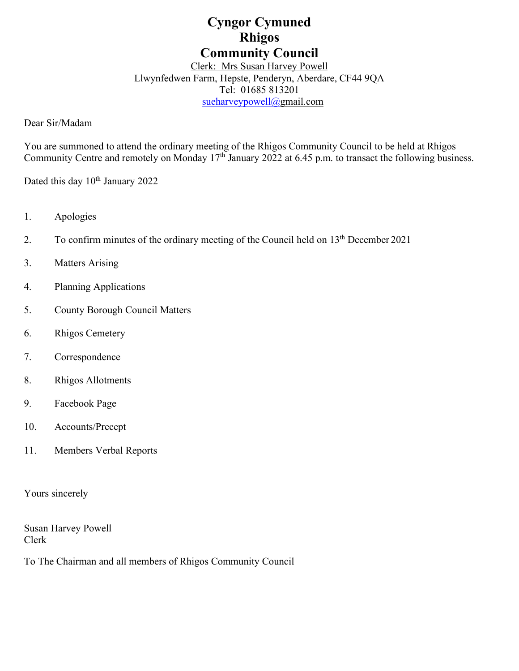# **Cyngor Cymuned Rhigos Community Council**

Clerk: Mrs Susan Harvey Powell Llwynfedwen Farm, Hepste, Penderyn, Aberdare, CF44 9QA Tel: 01685 813201

[sueharveypowell@g](mailto:sharveypowell@comin-infants.co.uk)mail.com

Dear Sir/Madam

You are summoned to attend the ordinary meeting of the Rhigos Community Council to be held at Rhigos Community Centre and remotely on Monday 17<sup>th</sup> January 2022 at 6.45 p.m. to transact the following business.

Dated this day 10<sup>th</sup> January 2022

- 1. Apologies
- 2. To confirm minutes of the ordinary meeting of the Council held on  $13<sup>th</sup>$  December 2021
- 3. Matters Arising
- 4. Planning Applications
- 5. County Borough Council Matters
- 6. Rhigos Cemetery
- 7. Correspondence
- 8. Rhigos Allotments
- 9. Facebook Page
- 10. Accounts/Precept
- 11. Members Verbal Reports

Yours sincerely

Susan Harvey Powell Clerk

To The Chairman and all members of Rhigos Community Council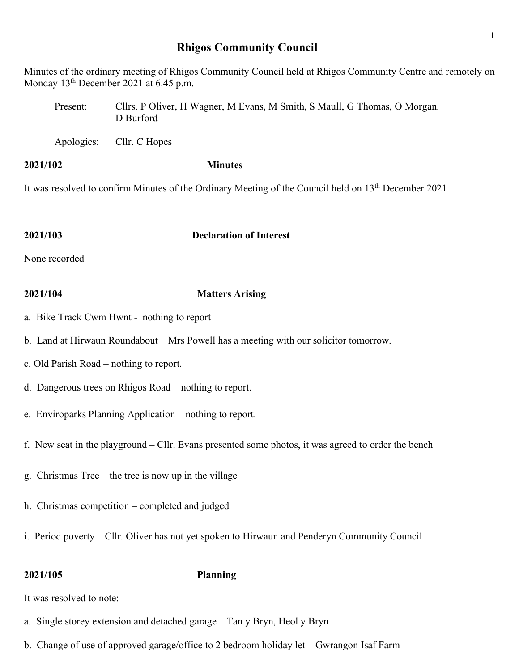# **Rhigos Community Council**

Minutes of the ordinary meeting of Rhigos Community Council held at Rhigos Community Centre and remotely on Monday 13<sup>th</sup> December 2021 at 6.45 p.m.

Present: Cllrs. P Oliver, H Wagner, M Evans, M Smith, S Maull, G Thomas, O Morgan. D Burford

Apologies: Cllr. C Hopes

**2021/102 Minutes**

It was resolved to confirm Minutes of the Ordinary Meeting of the Council held on 13<sup>th</sup> December 2021

# **2021/103 Declaration of Interest**

None recorded

# **2021/104 Matters Arising**

- a. Bike Track Cwm Hwnt nothing to report
- b. Land at Hirwaun Roundabout Mrs Powell has a meeting with our solicitor tomorrow.
- c. Old Parish Road nothing to report.
- d. Dangerous trees on Rhigos Road nothing to report.
- e. Enviroparks Planning Application nothing to report.
- f. New seat in the playground Cllr. Evans presented some photos, it was agreed to order the bench
- g. Christmas Tree the tree is now up in the village
- h. Christmas competition completed and judged
- i. Period poverty Cllr. Oliver has not yet spoken to Hirwaun and Penderyn Community Council

# **2021/105 Planning**

It was resolved to note:

- a. Single storey extension and detached garage Tan y Bryn, Heol y Bryn
- b. Change of use of approved garage/office to 2 bedroom holiday let Gwrangon Isaf Farm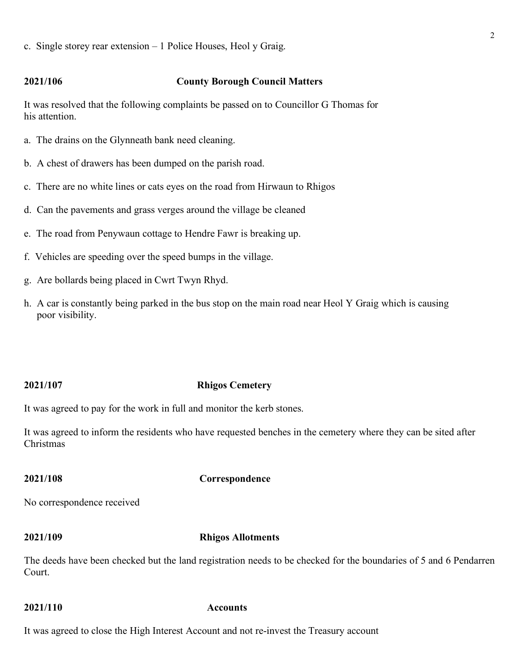c. Single storey rear extension – 1 Police Houses, Heol y Graig.

# **2021/106 County Borough Council Matters**

It was resolved that the following complaints be passed on to Councillor G Thomas for his attention.

- a. The drains on the Glynneath bank need cleaning.
- b. A chest of drawers has been dumped on the parish road.
- c. There are no white lines or cats eyes on the road from Hirwaun to Rhigos
- d. Can the pavements and grass verges around the village be cleaned
- e. The road from Penywaun cottage to Hendre Fawr is breaking up.
- f. Vehicles are speeding over the speed bumps in the village.
- g. Are bollards being placed in Cwrt Twyn Rhyd.
- h. A car is constantly being parked in the bus stop on the main road near Heol Y Graig which is causing poor visibility.

### **2021/107 Rhigos Cemetery**

It was agreed to pay for the work in full and monitor the kerb stones.

It was agreed to inform the residents who have requested benches in the cemetery where they can be sited after Christmas

### **2021/108 Correspondence**

No correspondence received

### **2021/109 Rhigos Allotments**

The deeds have been checked but the land registration needs to be checked for the boundaries of 5 and 6 Pendarren Court.

### **2021/110 Accounts**

It was agreed to close the High Interest Account and not re-invest the Treasury account